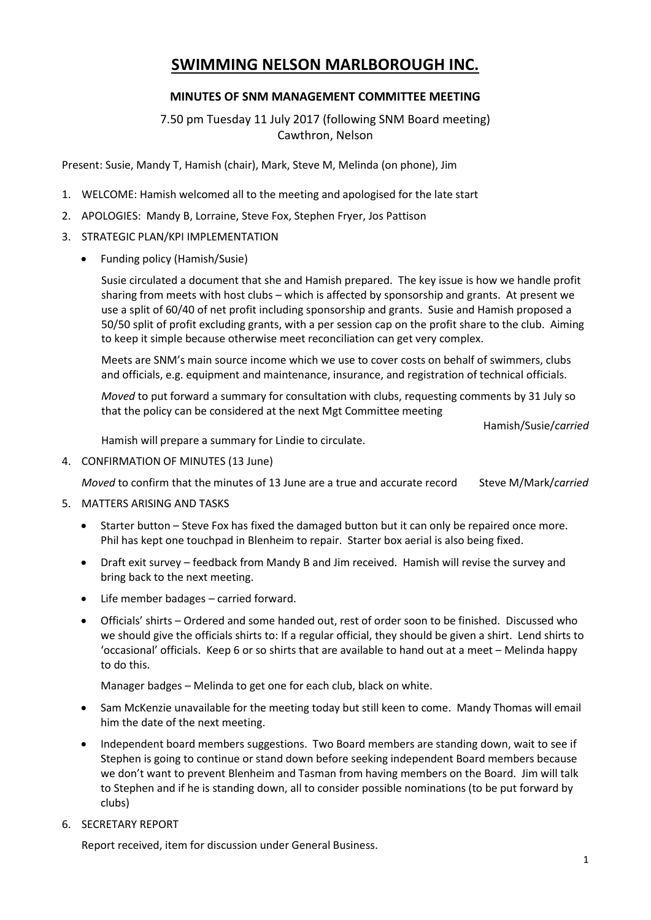# **SWIMMING NELSON MARLBOROUGH INC.**

## **MINUTES OF SNM MANAGEMENT COMMITTEE MEETING**

7.50 pm Tuesday 11 July 2017 (following SNM Board meeting) Cawthron, Nelson

Present: Susie, Mandy T, Hamish (chair), Mark, Steve M, Melinda (on phone), Jim

- 1. WELCOME: Hamish welcomed all to the meeting and apologised for the late start
- 2. APOLOGIES: Mandy B, Lorraine, Steve Fox, Stephen Fryer, Jos Pattison
- 3. STRATEGIC PLAN/KPI IMPLEMENTATION
	- Funding policy (Hamish/Susie)

Susie circulated a document that she and Hamish prepared. The key issue is how we handle profit sharing from meets with host clubs – which is affected by sponsorship and grants. At present we use a split of 60/40 of net profit including sponsorship and grants. Susie and Hamish proposed a 50/50 split of profit excluding grants, with a per session cap on the profit share to the club. Aiming to keep it simple because otherwise meet reconciliation can get very complex.

Meets are SNM's main source income which we use to cover costs on behalf of swimmers, clubs and officials, e.g. equipment and maintenance, insurance, and registration of technical officials.

*Moved* to put forward a summary for consultation with clubs, requesting comments by 31 July so that the policy can be considered at the next Mgt Committee meeting

Hamish/Susie/*carried*

Hamish will prepare a summary for Lindie to circulate.

4. CONFIRMATION OF MINUTES (13 June)

*Moved* to confirm that the minutes of 13 June are a true and accurate record Steve M/Mark/*carried*

- 5. MATTERS ARISING AND TASKS
	- Starter button Steve Fox has fixed the damaged button but it can only be repaired once more. Phil has kept one touchpad in Blenheim to repair. Starter box aerial is also being fixed.
	- Draft exit survey feedback from Mandy B and Jim received. Hamish will revise the survey and bring back to the next meeting.
	- Life member badages carried forward.
	- Officials' shirts Ordered and some handed out, rest of order soon to be finished. Discussed who we should give the officials shirts to: If a regular official, they should be given a shirt. Lend shirts to 'occasional' officials. Keep 6 or so shirts that are available to hand out at a meet – Melinda happy to do this.

Manager badges – Melinda to get one for each club, black on white.

- Sam McKenzie unavailable for the meeting today but still keen to come. Mandy Thomas will email him the date of the next meeting.
- Independent board members suggestions. Two Board members are standing down, wait to see if Stephen is going to continue or stand down before seeking independent Board members because we don't want to prevent Blenheim and Tasman from having members on the Board. Jim will talk to Stephen and if he is standing down, all to consider possible nominations (to be put forward by clubs)
- 6. SECRETARY REPORT

Report received, item for discussion under General Business.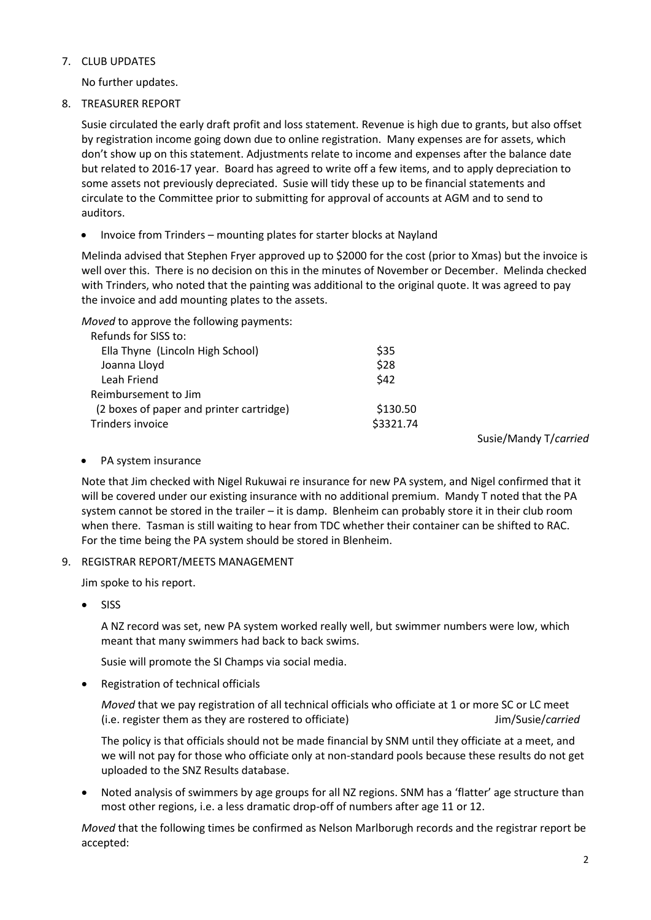#### 7. CLUB UPDATES

No further updates.

8. TREASURER REPORT

Susie circulated the early draft profit and loss statement. Revenue is high due to grants, but also offset by registration income going down due to online registration. Many expenses are for assets, which don't show up on this statement. Adjustments relate to income and expenses after the balance date but related to 2016-17 year. Board has agreed to write off a few items, and to apply depreciation to some assets not previously depreciated. Susie will tidy these up to be financial statements and circulate to the Committee prior to submitting for approval of accounts at AGM and to send to auditors.

Invoice from Trinders – mounting plates for starter blocks at Nayland

Melinda advised that Stephen Fryer approved up to \$2000 for the cost (prior to Xmas) but the invoice is well over this. There is no decision on this in the minutes of November or December. Melinda checked with Trinders, who noted that the painting was additional to the original quote. It was agreed to pay the invoice and add mounting plates to the assets.

*Moved* to approve the following payments:

| Refunds for SISS to:                     |           |
|------------------------------------------|-----------|
| Ella Thyne (Lincoln High School)         | \$35      |
| Joanna Lloyd                             | \$28      |
| Leah Friend                              | \$42      |
| Reimbursement to Jim                     |           |
| (2 boxes of paper and printer cartridge) | \$130.50  |
| Trinders invoice                         | \$3321.74 |
|                                          |           |

Susie/Mandy T/*carried*

• PA system insurance

Note that Jim checked with Nigel Rukuwai re insurance for new PA system, and Nigel confirmed that it will be covered under our existing insurance with no additional premium. Mandy T noted that the PA system cannot be stored in the trailer – it is damp. Blenheim can probably store it in their club room when there. Tasman is still waiting to hear from TDC whether their container can be shifted to RAC. For the time being the PA system should be stored in Blenheim.

## 9. REGISTRAR REPORT/MEETS MANAGEMENT

Jim spoke to his report.

 $\bullet$  SISS

A NZ record was set, new PA system worked really well, but swimmer numbers were low, which meant that many swimmers had back to back swims.

Susie will promote the SI Champs via social media.

Registration of technical officials

*Moved* that we pay registration of all technical officials who officiate at 1 or more SC or LC meet (i.e. register them as they are rostered to officiate) Jim/Susie/*carried*

The policy is that officials should not be made financial by SNM until they officiate at a meet, and we will not pay for those who officiate only at non-standard pools because these results do not get uploaded to the SNZ Results database.

 Noted analysis of swimmers by age groups for all NZ regions. SNM has a 'flatter' age structure than most other regions, i.e. a less dramatic drop-off of numbers after age 11 or 12.

*Moved* that the following times be confirmed as Nelson Marlborugh records and the registrar report be accepted: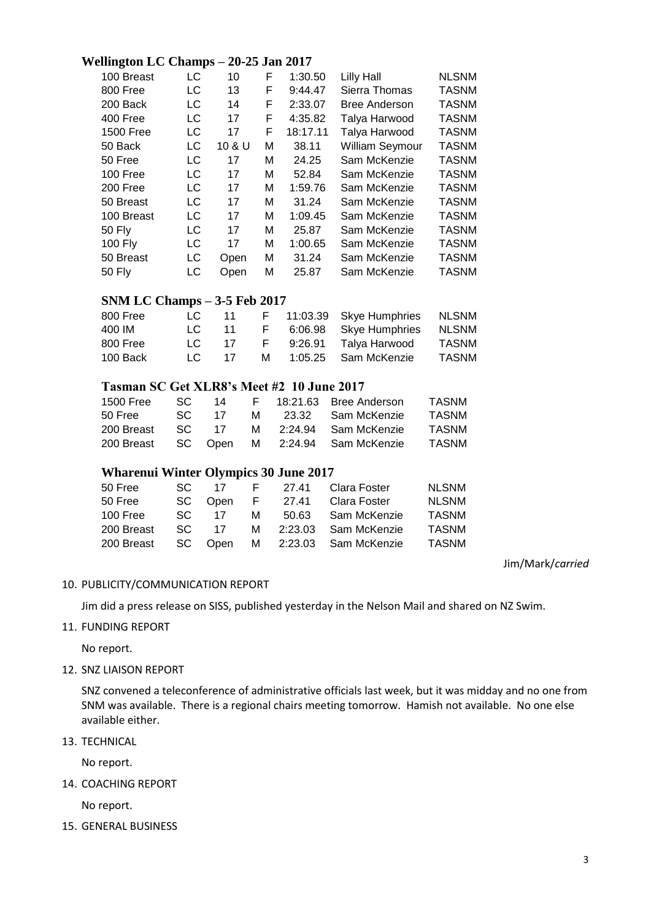## **Wellington LC Champs – 20-25 Jan 2017**

| 100 Breast       | LC | 10     | F | 1:30.50  | Lilly Hall             | <b>NLSNM</b> |
|------------------|----|--------|---|----------|------------------------|--------------|
| 800 Free         | LC | 13     | F | 9:44.47  | Sierra Thomas          | <b>TASNM</b> |
| 200 Back         | LC | 14     | F | 2:33.07  | <b>Bree Anderson</b>   | <b>TASNM</b> |
| 400 Free         | LC | 17     | F | 4:35.82  | Talya Harwood          | <b>TASNM</b> |
| <b>1500 Free</b> | LC | 17     | F | 18:17.11 | Talya Harwood          | <b>TASNM</b> |
| 50 Back          | LC | 10 & U | М | 38.11    | <b>William Seymour</b> | <b>TASNM</b> |
| 50 Free          | LC | 17     | М | 24.25    | Sam McKenzie           | <b>TASNM</b> |
| 100 Free         | LC | 17     | М | 52.84    | Sam McKenzie           | <b>TASNM</b> |
| 200 Free         | LC | 17     | М | 1:59.76  | Sam McKenzie           | <b>TASNM</b> |
| 50 Breast        | LC | 17     | М | 31.24    | Sam McKenzie           | <b>TASNM</b> |
| 100 Breast       | LC | 17     | м | 1:09.45  | Sam McKenzie           | <b>TASNM</b> |
| 50 Fly           | LC | 17     | м | 25.87    | Sam McKenzie           | <b>TASNM</b> |
| 100 Fly          | LC | 17     | М | 1:00.65  | Sam McKenzie           | <b>TASNM</b> |
| 50 Breast        | LC | Open   | М | 31.24    | Sam McKenzie           | <b>TASNM</b> |
| 50 Fly           | LC | Open   | М | 25.87    | Sam McKenzie           | <b>TASNM</b> |

## **SNM LC Champs – 3-5 Feb 2017**

| 800 Free | LC.  | -11 |              | F 11:03.39 Skye Humphries NLSNM |       |
|----------|------|-----|--------------|---------------------------------|-------|
| 400 IM   | LC – | -11 | $\mathbf{F}$ | 6:06.98 Skye Humphries          | NLSNM |
| 800 Free | LC.  | -17 | H.,          | 9:26.91 Talya Harwood           | TASNM |
| 100 Back | LC.  | 17  | M            | 1:05.25 Sam McKenzie            | TASNM |

## **Tasman SC Get XLR8's Meet #2 10 June 2017**

| 1500 Free  | -SC - | 14    |  | F 18:21.63 Bree Anderson                       | <b>TASNM</b> |
|------------|-------|-------|--|------------------------------------------------|--------------|
| 50 Free    | SC.   | 17    |  | M 23.32 Sam McKenzie                           | <b>TASNM</b> |
| 200 Breast |       | SC 17 |  | M 2:24.94 Sam McKenzie                         | <b>TASNM</b> |
|            |       |       |  | 200 Breast  SC  Open  M  2:24.94  Sam McKenzie | TASNM        |

## **Wharenui Winter Olympics 30 June 2017**

|    |      |              | <b>NLSNM</b>                                                                                                                                       |
|----|------|--------------|----------------------------------------------------------------------------------------------------------------------------------------------------|
|    |      | Clara Foster | <b>NLSNM</b>                                                                                                                                       |
| 17 |      |              | <b>TASNM</b>                                                                                                                                       |
|    |      |              | <b>TASNM</b>                                                                                                                                       |
|    |      |              | <b>TASNM</b>                                                                                                                                       |
|    | SC - |              | SC 17 F 27.41 Clara Foster<br>SC Open F 27.41<br>M 50.63 Sam McKenzie<br>SC 17 M 2:23.03 Sam McKenzie<br>200 Breast SC Open M 2:23.03 Sam McKenzie |

#### Jim/Mark/*carried*

#### 10. PUBLICITY/COMMUNICATION REPORT

Jim did a press release on SISS, published yesterday in the Nelson Mail and shared on NZ Swim.

#### 11. FUNDING REPORT

No report.

12. SNZ LIAISON REPORT

SNZ convened a teleconference of administrative officials last week, but it was midday and no one from SNM was available. There is a regional chairs meeting tomorrow. Hamish not available. No one else available either.

13. TECHNICAL

No report.

14. COACHING REPORT

No report.

15. GENERAL BUSINESS